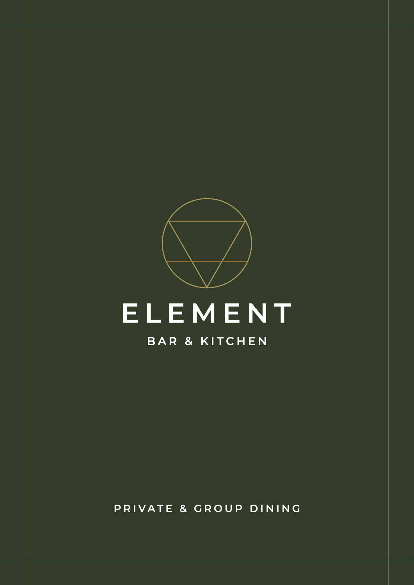

**PRIVATE & GROUP DINING**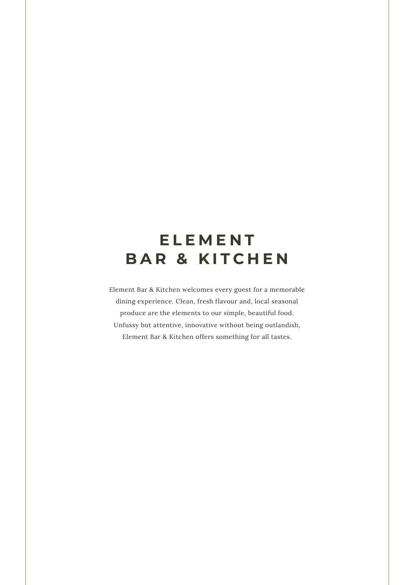# **E L E M E N T BAR & KITCHEN**

Element Bar & Kitchen welcomes every guest for a memorable dining experience. Clean, fresh flavour and, local seasonal produce are the elements to our simple, beautiful food. Unfussy but attentive, innovative without being outlandish, Element Bar & Kitchen offers something for all tastes.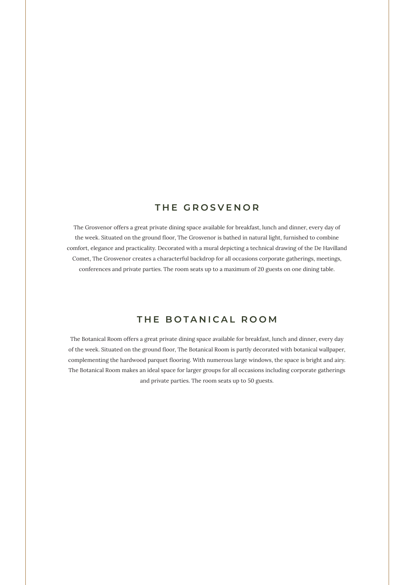### **THE GROSVENOR**

The Grosvenor offers a great private dining space available for breakfast, lunch and dinner, every day of the week. Situated on the ground floor, The Grosvenor is bathed in natural light, furnished to combine comfort, elegance and practicality. Decorated with a mural depicting a technical drawing of the De Havilland Comet, The Grosvenor creates a characterful backdrop for all occasions corporate gatherings, meetings, conferences and private parties. The room seats up to a maximum of 20 guests on one dining table.

### **THE BOTANICAL ROOM**

The Botanical Room offers a great private dining space available for breakfast, lunch and dinner, every day of the week. Situated on the ground floor, The Botanical Room is partly decorated with botanical wallpaper, complementing the hardwood parquet flooring. With numerous large windows, the space is bright and airy. The Botanical Room makes an ideal space for larger groups for all occasions including corporate gatherings and private parties. The room seats up to 50 guests.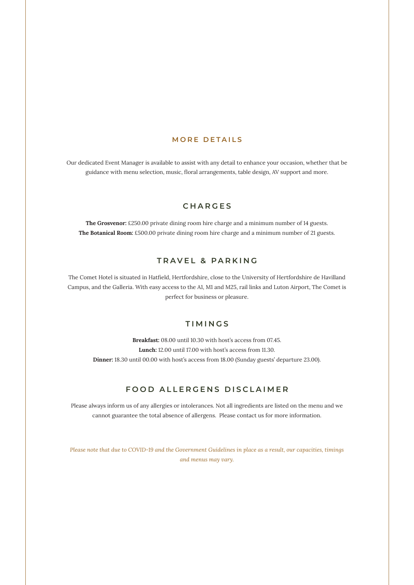#### **MORE DETAILS**

Our dedicated Event Manager is available to assist with any detail to enhance your occasion, whether that be guidance with menu selection, music, floral arrangements, table design, AV support and more.

### **CHARGES**

**The Grosvenor:** £250.00 private dining room hire charge and a minimum number of 14 guests. **The Botanical Room:** £500.00 private dining room hire charge and a minimum number of 21 guests.

#### **TRAVEL & PARKING**

The Comet Hotel is situated in Hatfield, Hertfordshire, close to the University of Hertfordshire de Havilland Campus, and the Galleria. With easy access to the A1, M1 and M25, rail links and Luton Airport, The Comet is perfect for business or pleasure.

### **TIMINGS**

**Breakfast:** 08.00 until 10.30 with host's access from 07.45. **Lunch:** 12.00 until 17.00 with host's access from 11.30. **Dinner:** 18.30 until 00.00 with host's access from 18.00 (Sunday guests' departure 23.00).

### **FOOD ALLERGENS DISCLAIMER**

Please always inform us of any allergies or intolerances. Not all ingredients are listed on the menu and we cannot guarantee the total absence of allergens. Please contact us for more information.

*Please note that due to COVID-19 and the Government Guidelines in place as a result, our capacities, timings and menus may vary.*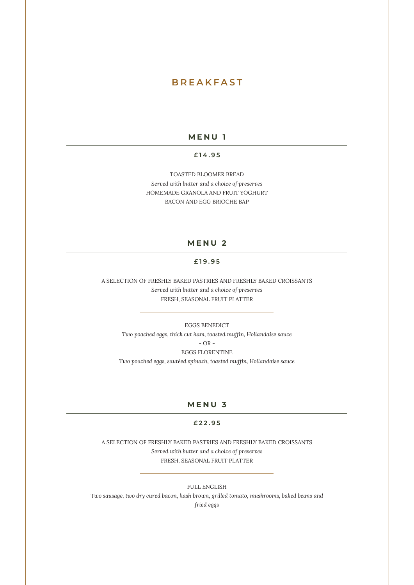### **BREAKFAST**

#### **MENU 1**

#### **£ 1 4 . 9 5**

TOASTED BLOOMER BREAD *Served with butter and a choice of preserves* HOMEMADE GRANOLA AND FRUIT YOGHURT BACON AND EGG BRIOCHE BAP

### **MENU 2**

#### **£19.95**

A SELECTION OF FRESHLY BAKED PASTRIES AND FRESHLY BAKED CROISSANTS *Served with butter and a choice of preserves* FRESH, SEASONAL FRUIT PLATTER

EGGS BENEDICT *Two poached eggs, thick cut ham, toasted muffin, Hollandaise sauce* - OR - EGGS FLORENTINE

*Two poached eggs, sautéed spinach, toasted muffin, Hollandaise sauce*

#### **MENU 3**

#### **£22.95**

A SELECTION OF FRESHLY BAKED PASTRIES AND FRESHLY BAKED CROISSANTS *Served with butter and a choice of preserves* FRESH, SEASONAL FRUIT PLATTER

FULL ENGLISH *Two sausage, two dry cured bacon, hash brown, grilled tomato, mushrooms, baked beans and fried eggs*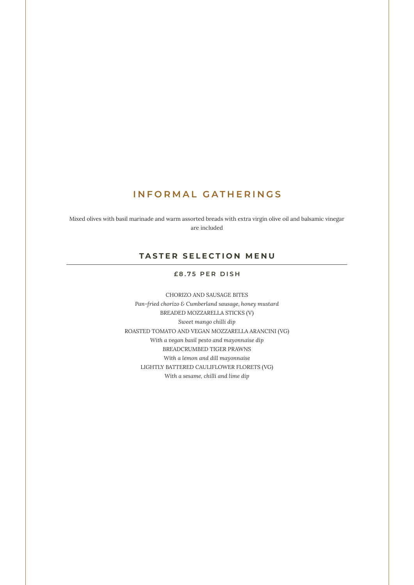### **INFORMAL GATHERINGS**

Mixed olives with basil marinade and warm assorted breads with extra virgin olive oil and balsamic vinegar are included

### **TASTER SELECTION MENU**

#### **£8.75 PER DISH**

CHORIZO AND SAUSAGE BITES *Pan-fried chorizo & Cumberland sausage, honey mustard* BREADED MOZZARELLA STICKS (V) *Sweet mango chilli dip* ROASTED TOMATO AND VEGAN MOZZARELLA ARANCINI (VG) *With a vegan basil pesto and mayonnaise dip* BREADCRUMBED TIGER PRAWNS *With a lemon and dill mayonnaise* LIGHTLY BATTERED CAULIFLOWER FLORETS (VG) *With a sesame, chilli and lime dip*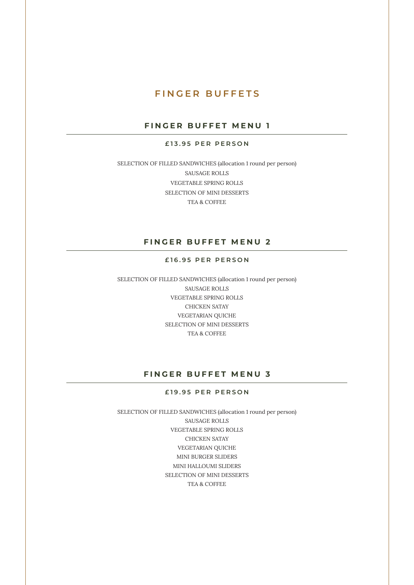### **FINGER BUFFETS**

### **FINGER BUFFET MENU 1**

#### **£13.95 PER PERSON**

SELECTION OF FILLED SANDWICHES (allocation 1 round per person) SAUSAGE ROLLS VEGETABLE SPRING ROLLS SELECTION OF MINI DESSERTS TEA & COFFEE

### **FINGER BUFFET MENU 2**

#### **£16.95 PER PERSON**

SELECTION OF FILLED SANDWICHES (allocation 1 round per person) SAUSAGE ROLLS VEGETABLE SPRING ROLLS CHICKEN SATAY VEGETARIAN QUICHE SELECTION OF MINI DESSERTS TEA & COFFEE

### **FINGER BUFFET MENU 3**

#### **£19.95 PER PERSON**

SELECTION OF FILLED SANDWICHES (allocation 1 round per person) SAUSAGE ROLLS VEGETABLE SPRING ROLLS CHICKEN SATAY VEGETARIAN QUICHE MINI BURGER SLIDERS MINI HALLOUMI SLIDERS SELECTION OF MINI DESSERTS TEA & COFFEE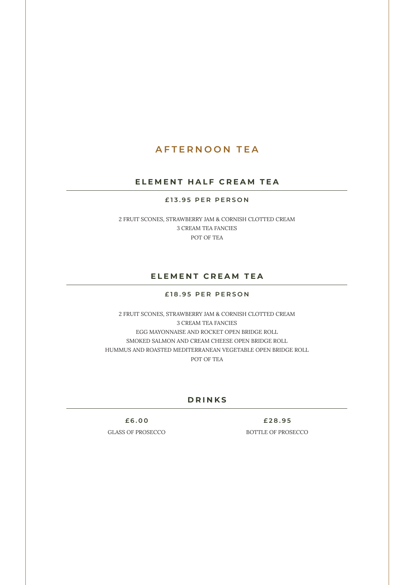### **AFTERNOON TEA**

#### **ELEMENT HALF CREAM TEA**

#### **£13.95 PER PERSON**

2 FRUIT SCONES, STRAWBERRY JAM & CORNISH CLOTTED CREAM 3 CREAM TEA FANCIES POT OF TEA

### **ELEMENT CREAM TEA**

#### **£18.95 PER PERSON**

2 FRUIT SCONES, STRAWBERRY JAM & CORNISH CLOTTED CREAM 3 CREAM TEA FANCIES EGG MAYONNAISE AND ROCKET OPEN BRIDGE ROLL SMOKED SALMON AND CREAM CHEESE OPEN BRIDGE ROLL HUMMUS AND ROASTED MEDITERRANEAN VEGETABLE OPEN BRIDGE ROLL POT OF TEA

#### **DRINKS**

**£6.00 £28.95**

GLASS OF PROSECCO BOTTLE OF PROSECCO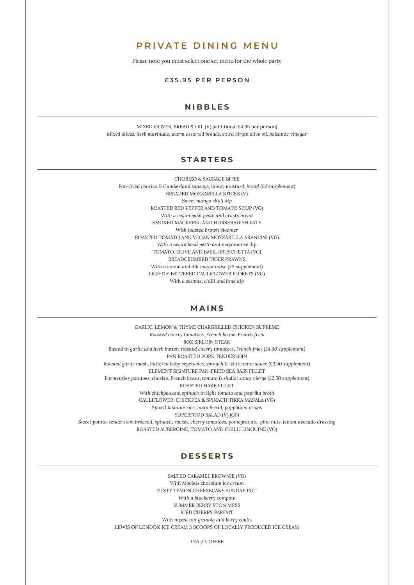### **PRIVATE DINING MENU**

Please note you must select one set menu for the whole party

#### **£ 3 5 . 9 5 P E R P E R S O N**

#### **NIBBLES**

MIXED OLIVES, BREAD & OIL (V) (additional £4.95 per person) *Mixed olives, herb marinade, warm assorted breads, extra virgin olive oil, balsamic vinegar* 

### **STARTERS**

CHORIZO & SAUSAGE BITES *Pan-fried chorizo & Cumberland sausage, honey mustard, bread (£2 supplement)* BREADED MOZZARELLA STICKS (V) *Sweet mango chilli dip*  ROASTED RED PEPPER AND TOMATO SOUP (VG) *With a vegan basil pesto and crusty bread*  SMOKED MACKEREL AND HORSERADISH PATE *With toasted brown bloomer*  ROASTED TOMATO AND VEGAN MOZZARELLA ARANCINI (VG) *With a vegan basil pesto and mayonnaise dip* TOMATO, OLIVE AND BASIL BRUSCHETTA (VG) BREADCRUMBED TIGER PRAWNS *With a lemon and dill mayonnaise (£2 supplement)* LIGHTLY BATTERED CAULIFLOWER FLORETS (VG) *With a sesame, chilli and lime dip* 

#### **MAINS**

GARLIC, LEMON & THYME CHARGRILLED CHICKEN SUPREME *Roasted cherry tomatoes, French beans, French fries* 8OZ SIRLOIN STEAK *Basted in garlic and herb butter, roasted cherry tomatoes, French fries (£4.50 supplement)* PAN ROASTED PORK TENDERLOIN *Roasted garlic mash, buttered baby vegetables, spinach & white wine sauce (£3.50 supplement)* ELEMENT SIGNTURE PAN-FRIED SEA BASS FILLET *Parmentier potatoes, chorizo, French beans, tomato & shallot sauce vierge (£2.50 supplement)* ROASTED HAKE FILLET *With chickpea and spinach in light tomato and paprika broth* CAULIFLOWER, CHICKPEA & SPINACH TIKKA MASALA (VG) *Spiced Jasmine rice, naan bread, poppadom crisps* SUPERFOOD SALAD (V) (GF) *Sweet potato, tenderstem broccoli, spinach, rocket, cherry tomatoes, pomegranate, pine nuts, lemon avocado dressing* ROASTED AUBERGINE, TOMATO AND CHILLI LINGUINE (VG)

### **DESSERTS**

SALTED CARAMEL BROWNIE (VG) *With Mooless chocolate ice cream* ZESTY LEMON CHEESECAKE SUNDAE POT *With a blueberry compote* SUMMER BERRY ETON MESS ICED CHERRY PARFAIT *With mixed nut granola and berry coulis* LEWIS OF LONDON ICE CREAM 3 SCOOPS OF LOCALLY PRODUCED ICE CREAM

TEA / COFFEE